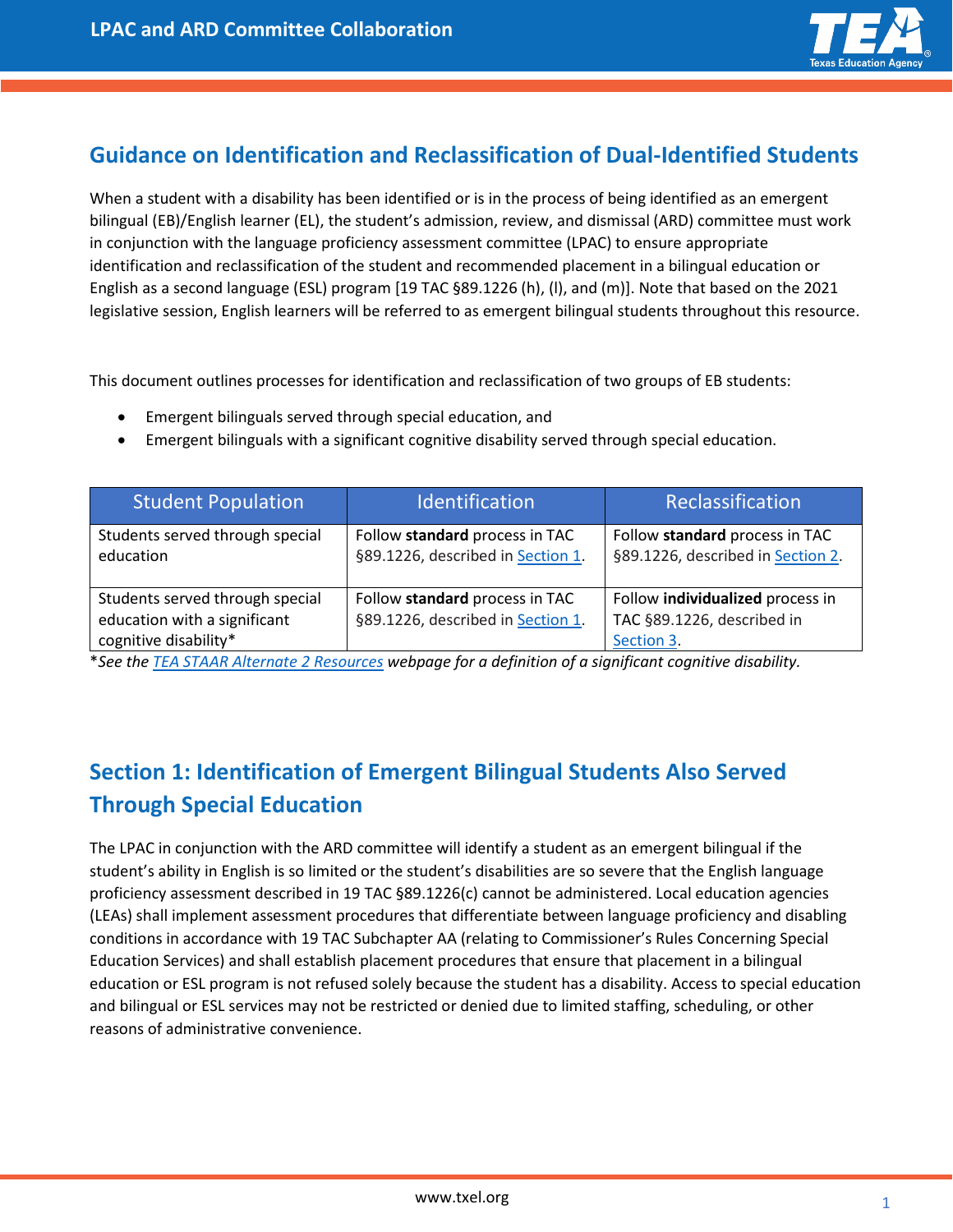

## **Guidance on Identification and Reclassification of Dual-Identified Students**

When a student with a disability has been identified or is in the process of being identified as an emergent bilingual (EB)/English learner (EL), the student's admission, review, and dismissal (ARD) committee must work in conjunction with the language proficiency assessment committee (LPAC) to ensure appropriate identification and reclassification of the student and recommended placement in a bilingual education or English as a second language (ESL) program [19 TAC §89.1226 (h), (l), and (m)]. Note that based on the 2021 legislative session, English learners will be referred to as emergent bilingual students throughout this resource.

This document outlines processes for identification and reclassification of two groups of EB students:

- Emergent bilinguals served through special education, and
- Emergent bilinguals with a significant cognitive disability served through special education.

| <b>Student Population</b>                                                                | Identification                                                      | Reclassification                                                             |
|------------------------------------------------------------------------------------------|---------------------------------------------------------------------|------------------------------------------------------------------------------|
| Students served through special<br>education                                             | Follow standard process in TAC<br>§89.1226, described in Section 1. | Follow standard process in TAC<br>§89.1226, described in Section 2.          |
| Students served through special<br>education with a significant<br>cognitive disability* | Follow standard process in TAC<br>§89.1226, described in Section 1. | Follow individualized process in<br>TAC §89.1226, described in<br>Section 3. |

\**See the [TEA STAAR Alternate 2 Resources](https://tea.texas.gov/student-assessment/testing/staar-alternate/staar-alternate-2-resources) webpage for a definition of a significant cognitive disability.* 

# <span id="page-0-0"></span>**Section 1: Identification of Emergent Bilingual Students Also Served Through Special Education**

The LPAC in conjunction with the ARD committee will identify a student as an emergent bilingual if the student's ability in English is so limited or the student's disabilities are so severe that the English language proficiency assessment described in 19 TAC §89.1226(c) cannot be administered. Local education agencies (LEAs) shall implement assessment procedures that differentiate between language proficiency and disabling conditions in accordance with 19 TAC Subchapter AA (relating to Commissioner's Rules Concerning Special Education Services) and shall establish placement procedures that ensure that placement in a bilingual education or ESL program is not refused solely because the student has a disability. Access to special education and bilingual or ESL services may not be restricted or denied due to limited staffing, scheduling, or other reasons of administrative convenience.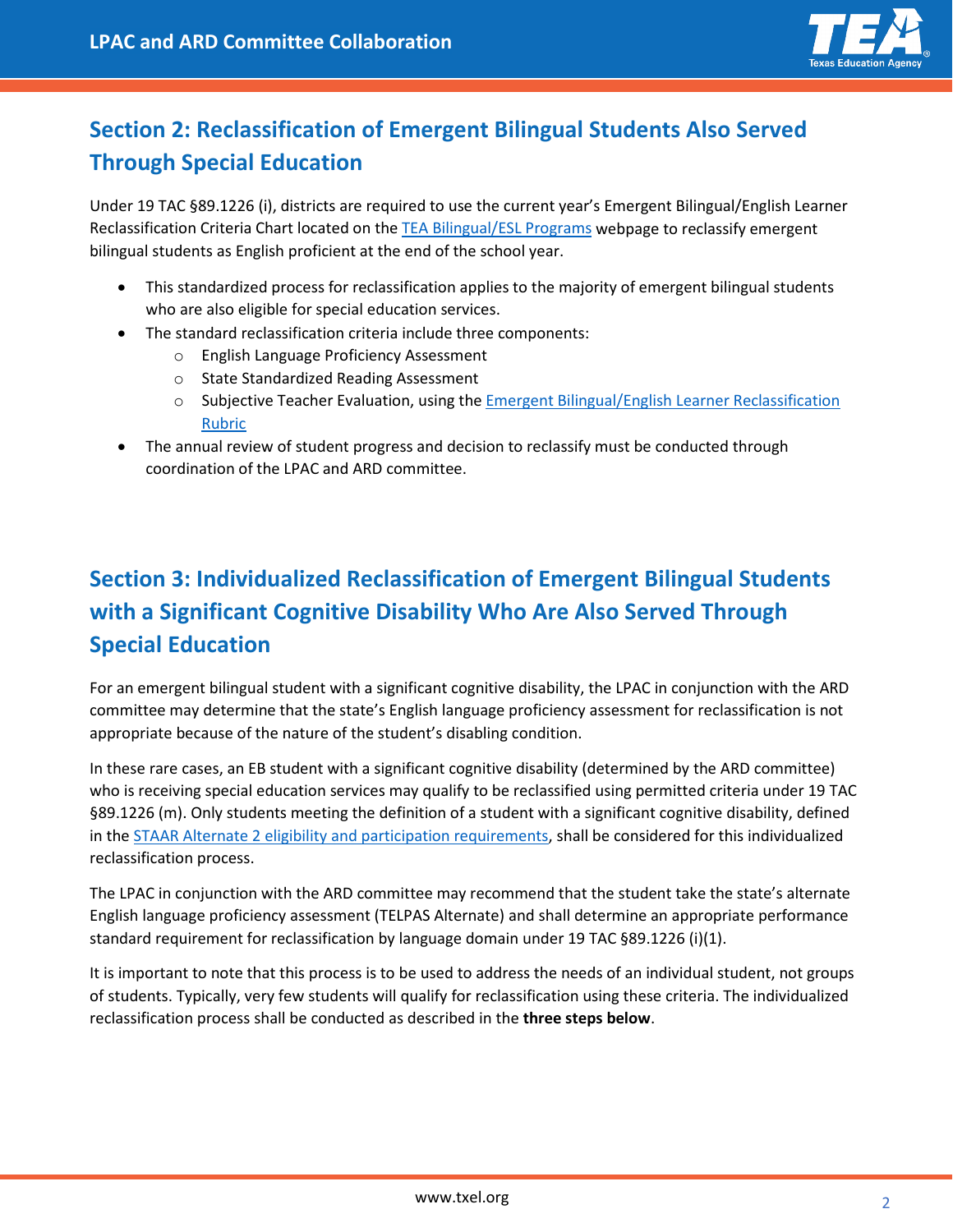

# <span id="page-1-0"></span>**Section 2: Reclassification of Emergent Bilingual Students Also Served Through Special Education**

Under 19 TAC §89.1226 (i), districts are required to use the current year's Emergent Bilingual/English Learner Reclassification Criteria Chart located on the [TEA Bilingual/ESL Programs](https://tea.texas.gov/academics/special-student-populations/english-learner-support/bilingual-and-english-as-a-second-language-education-programs) webpage to reclassify emergent bilingual students as English proficient at the end of the school year.

- This standardized process for reclassification applies to the majority of emergent bilingual students who are also eligible for special education services.
- The standard reclassification criteria include three components:
	- o English Language Proficiency Assessment
	- o State Standardized Reading Assessment
	- o Subjective Teacher Evaluation, using the [Emergent Bilingual/English Learner Reclassification](https://tea.texas.gov/sites/default/files/eb_el_reclassification_rubric_fillable.pdf)  [Rubric](https://tea.texas.gov/sites/default/files/eb_el_reclassification_rubric_fillable.pdf)
- The annual review of student progress and decision to reclassify must be conducted through coordination of the LPAC and ARD committee.

# <span id="page-1-1"></span>**Section 3: Individualized Reclassification of Emergent Bilingual Students with a Significant Cognitive Disability Who Are Also Served Through Special Education**

For an emergent bilingual student with a significant cognitive disability, the LPAC in conjunction with the ARD committee may determine that the state's English language proficiency assessment for reclassification is not appropriate because of the nature of the student's disabling condition.

In these rare cases, an EB student with a significant cognitive disability (determined by the ARD committee) who is receiving special education services may qualify to be reclassified using permitted criteria under 19 TAC §89.1226 (m). Only students meeting the definition of a student with a significant cognitive disability, defined in the [STAAR Alternate 2 eligibility and participation requirements,](https://tea.texas.gov/student-assessment/testing/staar-alternate/staar-alternate-2-resources) shall be considered for this individualized reclassification process.

The LPAC in conjunction with the ARD committee may recommend that the student take the state's alternate English language proficiency assessment (TELPAS Alternate) and shall determine an appropriate performance standard requirement for reclassification by language domain under 19 TAC §89.1226 (i)(1).

It is important to note that this process is to be used to address the needs of an individual student, not groups of students. Typically, very few students will qualify for reclassification using these criteria. The individualized reclassification process shall be conducted as described in the **three steps below**.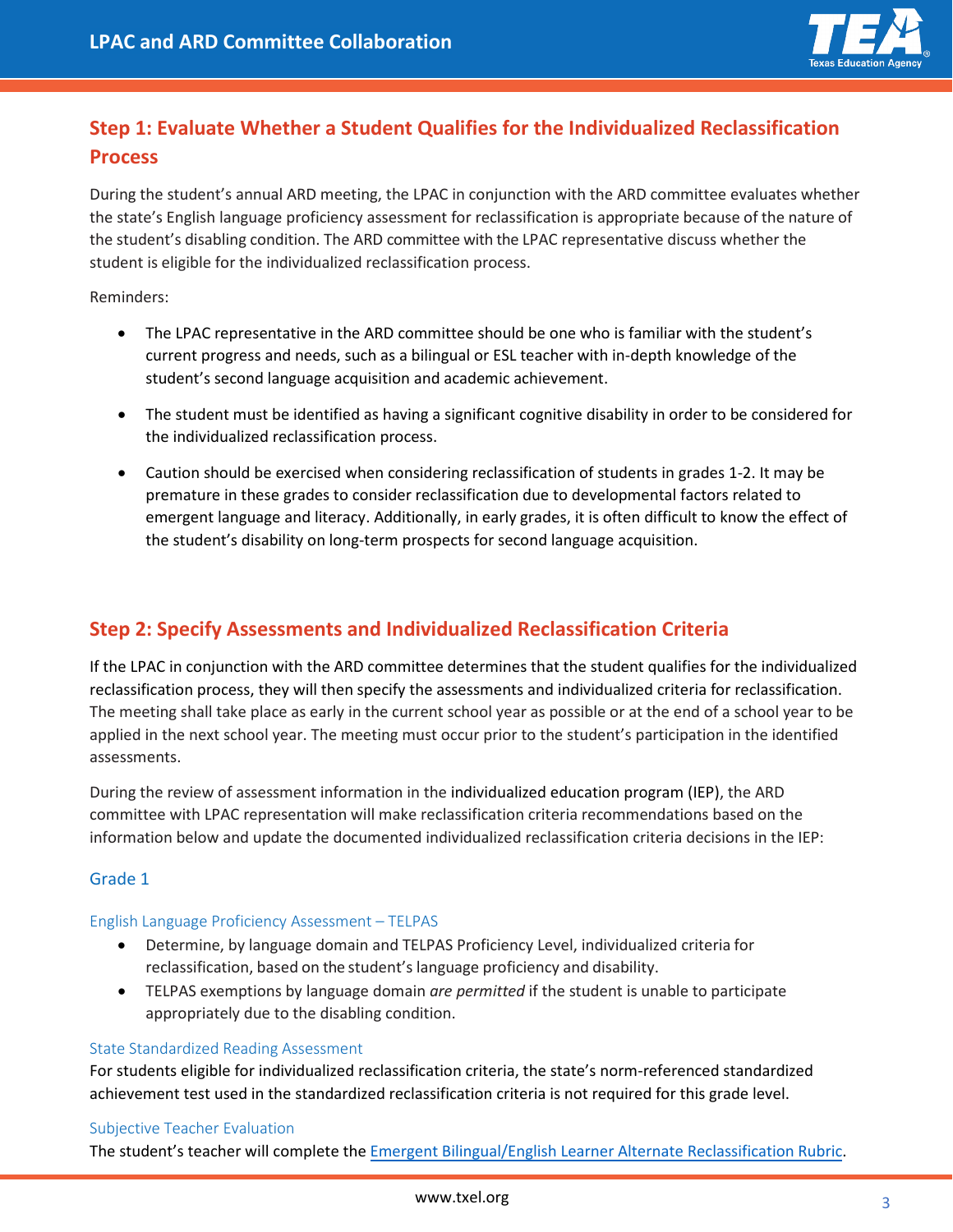

### **Step 1: Evaluate Whether a Student Qualifies for the Individualized Reclassification Process**

During the student's annual ARD meeting, the LPAC in conjunction with the ARD committee evaluates whether the state's English language proficiency assessment for reclassification is appropriate because of the nature of the student's disabling condition. The ARD committee with the LPAC representative discuss whether the student is eligible for the individualized reclassification process.

Reminders:

- The LPAC representative in the ARD committee should be one who is familiar with the student's current progress and needs, such as a bilingual or ESL teacher with in-depth knowledge of the student's second language acquisition and academic achievement.
- The student must be identified as having a significant cognitive disability in order to be considered for the individualized reclassification process.
- Caution should be exercised when considering reclassification of students in grades 1-2. It may be premature in these grades to consider reclassification due to developmental factors related to emergent language and literacy. Additionally, in early grades, it is often difficult to know the effect of the student's disability on long-term prospects for second language acquisition.

### **Step 2: Specify Assessments and Individualized Reclassification Criteria**

If the LPAC in conjunction with the ARD committee determines that the student qualifies for the individualized reclassification process, they will then specify the assessments and individualized criteria for reclassification. The meeting shall take place as early in the current school year as possible or at the end of a school year to be applied in the next school year. The meeting must occur prior to the student's participation in the identified assessments.

During the review of assessment information in the individualized education program (IEP), the ARD committee with LPAC representation will make reclassification criteria recommendations based on the information below and update the documented individualized reclassification criteria decisions in the IEP:

#### Grade 1

#### English Language Proficiency Assessment – TELPAS

- Determine, by language domain and TELPAS Proficiency Level, individualized criteria for reclassification, based on the student's language proficiency and disability.
- TELPAS exemptions by language domain *are permitted* if the student is unable to participate appropriately due to the disabling condition.

#### State Standardized Reading Assessment

For students eligible for individualized reclassification criteria, the state's norm-referenced standardized achievement test used in the standardized reclassification criteria is not required for this grade level.

#### Subjective Teacher Evaluation

The student's teacher will complete the Emergent [Bilingual/English Learner Alternate Reclassification](https://tea.texas.gov/sites/default/files/eb_el_alternative_reclassification_rubric_fillable.pdf) Rubric.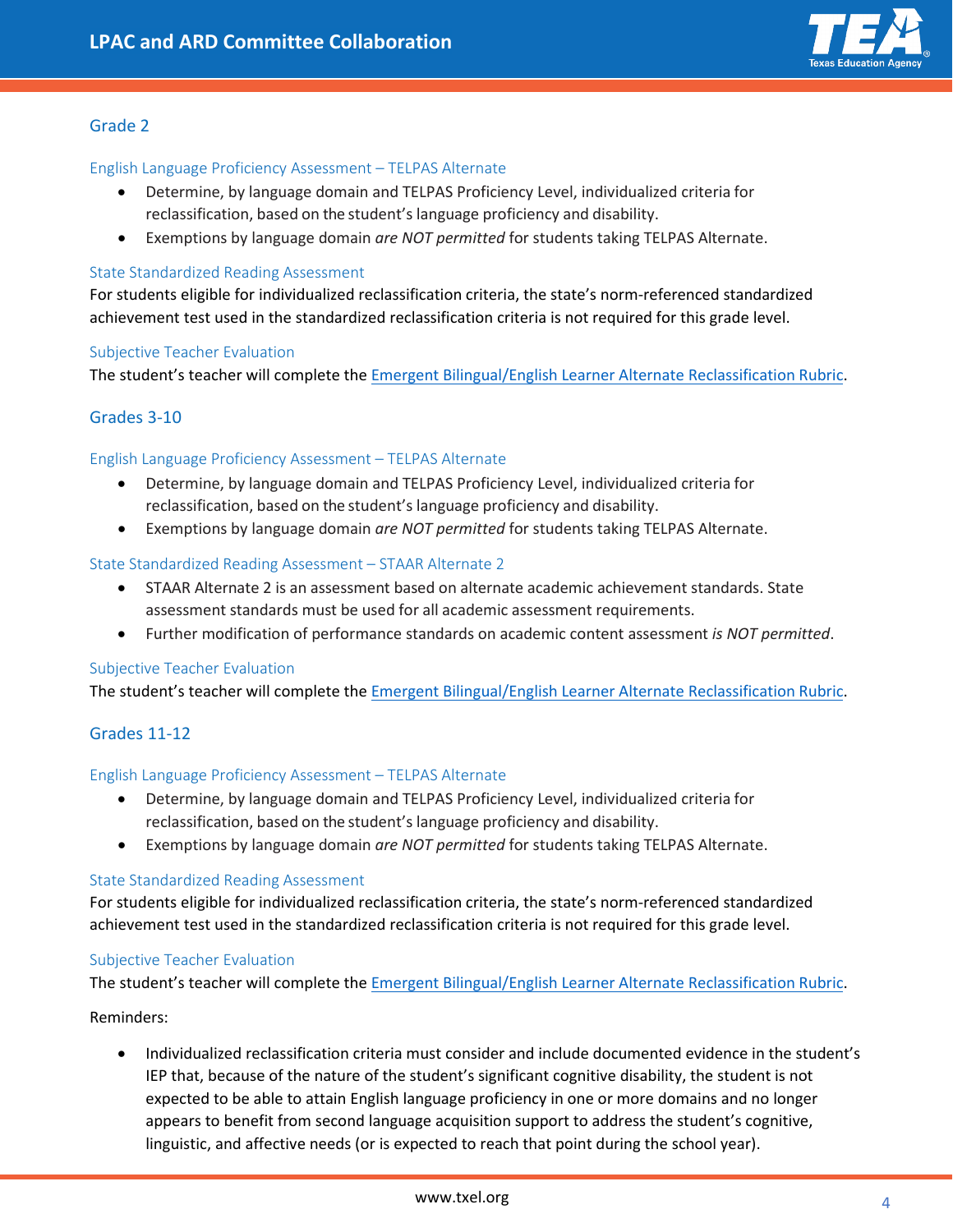

#### Grade 2

#### English Language Proficiency Assessment – TELPAS Alternate

- Determine, by language domain and TELPAS Proficiency Level, individualized criteria for reclassification, based on the student's language proficiency and disability.
- Exemptions by language domain *are NOT permitted* for students taking TELPAS Alternate.

#### State Standardized Reading Assessment

For students eligible for individualized reclassification criteria, the state's norm-referenced standardized achievement test used in the standardized reclassification criteria is not required for this grade level.

#### Subjective Teacher Evaluation

The student's teacher will complete the Emergent [Bilingual/English Learner Alternate](https://tea.texas.gov/sites/default/files/eb_el_alternative_reclassification_rubric_fillable.pdf) Reclassification Rubric.

#### Grades 3-10

#### English Language Proficiency Assessment – TELPAS Alternate

- Determine, by language domain and TELPAS Proficiency Level, individualized criteria for reclassification, based on the student's language proficiency and disability.
- Exemptions by language domain *are NOT permitted* for students taking TELPAS Alternate.

#### State Standardized Reading Assessment – STAAR Alternate 2

- STAAR Alternate 2 is an assessment based on alternate academic achievement standards. State assessment standards must be used for all academic assessment requirements.
- Further modification of performance standards on academic content assessment *is NOT permitted*.

#### Subjective Teacher Evaluation

The student's teacher will complete the Emergent [Bilingual/English Learner Alternate Reclassification](https://tea.texas.gov/sites/default/files/eb_el_alternative_reclassification_rubric_fillable.pdf) Rubric.

#### Grades 11-12

#### English Language Proficiency Assessment – TELPAS Alternate

- Determine, by language domain and TELPAS Proficiency Level, individualized criteria for reclassification, based on the student's language proficiency and disability.
- Exemptions by language domain *are NOT permitted* for students taking TELPAS Alternate.

#### State Standardized Reading Assessment

For students eligible for individualized reclassification criteria, the state's norm-referenced standardized achievement test used in the standardized reclassification criteria is not required for this grade level.

#### Subjective Teacher Evaluation

The student's teacher will complete the Emergent [Bilingual/English Learner Alternate Reclassification](https://tea.texas.gov/sites/default/files/eb_el_alternative_reclassification_rubric_fillable.pdf) Rubric.

#### Reminders:

• Individualized reclassification criteria must consider and include documented evidence in the student's IEP that, because of the nature of the student's significant cognitive disability, the student is not expected to be able to attain English language proficiency in one or more domains and no longer appears to benefit from second language acquisition support to address the student's cognitive, linguistic, and affective needs (or is expected to reach that point during the school year).